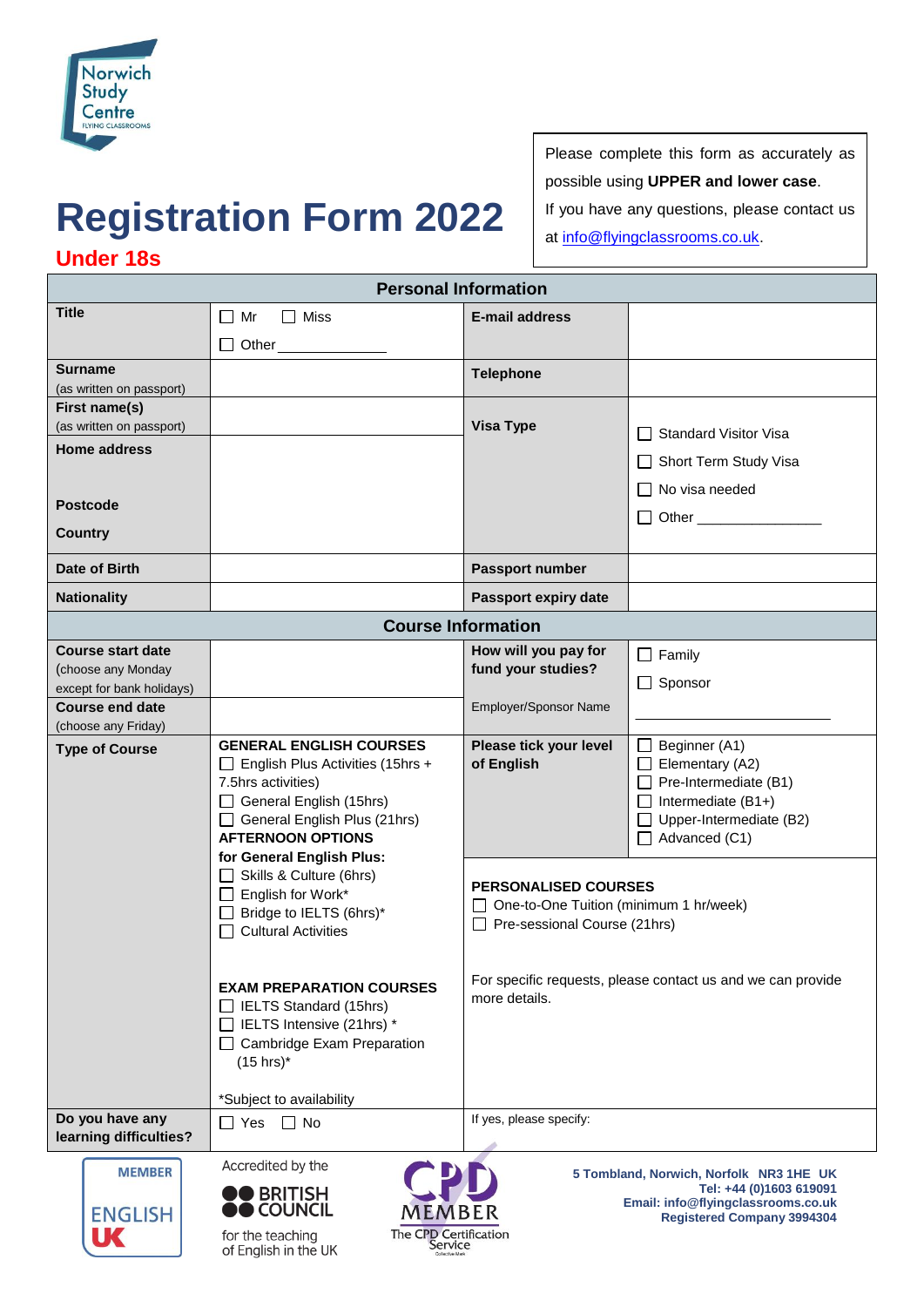

## **Registration Form 2022**

Please complete this form as accurately as possible using **UPPER and lower case**. If you have any questions, please contact us at [info@flyingclassrooms.co.uk.](info@flyingclassrooms.co.uk)

## **Under 18s**

**Personal Information**

| <b>Title</b>                                                                       | Miss<br>Mr                                                                                                                                                                                                                                                                                                                                                                                                                                                                                                 | <b>E-mail address</b>                                                                                                                                          |                                                                                                                                                                                                   |  |
|------------------------------------------------------------------------------------|------------------------------------------------------------------------------------------------------------------------------------------------------------------------------------------------------------------------------------------------------------------------------------------------------------------------------------------------------------------------------------------------------------------------------------------------------------------------------------------------------------|----------------------------------------------------------------------------------------------------------------------------------------------------------------|---------------------------------------------------------------------------------------------------------------------------------------------------------------------------------------------------|--|
|                                                                                    |                                                                                                                                                                                                                                                                                                                                                                                                                                                                                                            |                                                                                                                                                                |                                                                                                                                                                                                   |  |
|                                                                                    | □ Other __________                                                                                                                                                                                                                                                                                                                                                                                                                                                                                         |                                                                                                                                                                |                                                                                                                                                                                                   |  |
| <b>Surname</b>                                                                     |                                                                                                                                                                                                                                                                                                                                                                                                                                                                                                            | <b>Telephone</b>                                                                                                                                               |                                                                                                                                                                                                   |  |
| (as written on passport)<br>First name(s)                                          |                                                                                                                                                                                                                                                                                                                                                                                                                                                                                                            |                                                                                                                                                                |                                                                                                                                                                                                   |  |
| (as written on passport)                                                           |                                                                                                                                                                                                                                                                                                                                                                                                                                                                                                            | <b>Visa Type</b>                                                                                                                                               |                                                                                                                                                                                                   |  |
| <b>Home address</b>                                                                |                                                                                                                                                                                                                                                                                                                                                                                                                                                                                                            |                                                                                                                                                                | <b>Standard Visitor Visa</b>                                                                                                                                                                      |  |
|                                                                                    |                                                                                                                                                                                                                                                                                                                                                                                                                                                                                                            |                                                                                                                                                                | Short Term Study Visa                                                                                                                                                                             |  |
|                                                                                    |                                                                                                                                                                                                                                                                                                                                                                                                                                                                                                            |                                                                                                                                                                | No visa needed                                                                                                                                                                                    |  |
| <b>Postcode</b>                                                                    |                                                                                                                                                                                                                                                                                                                                                                                                                                                                                                            |                                                                                                                                                                |                                                                                                                                                                                                   |  |
| Country                                                                            |                                                                                                                                                                                                                                                                                                                                                                                                                                                                                                            |                                                                                                                                                                |                                                                                                                                                                                                   |  |
| Date of Birth                                                                      |                                                                                                                                                                                                                                                                                                                                                                                                                                                                                                            | Passport number                                                                                                                                                |                                                                                                                                                                                                   |  |
| <b>Nationality</b>                                                                 |                                                                                                                                                                                                                                                                                                                                                                                                                                                                                                            | Passport expiry date                                                                                                                                           |                                                                                                                                                                                                   |  |
| <b>Course Information</b>                                                          |                                                                                                                                                                                                                                                                                                                                                                                                                                                                                                            |                                                                                                                                                                |                                                                                                                                                                                                   |  |
| <b>Course start date</b>                                                           |                                                                                                                                                                                                                                                                                                                                                                                                                                                                                                            | How will you pay for                                                                                                                                           | Family                                                                                                                                                                                            |  |
| (choose any Monday                                                                 |                                                                                                                                                                                                                                                                                                                                                                                                                                                                                                            | fund your studies?                                                                                                                                             |                                                                                                                                                                                                   |  |
| except for bank holidays)                                                          |                                                                                                                                                                                                                                                                                                                                                                                                                                                                                                            |                                                                                                                                                                | Sponsor                                                                                                                                                                                           |  |
| <b>Course end date</b>                                                             |                                                                                                                                                                                                                                                                                                                                                                                                                                                                                                            | Employer/Sponsor Name                                                                                                                                          |                                                                                                                                                                                                   |  |
| (choose any Friday)<br><b>Type of Course</b>                                       | <b>GENERAL ENGLISH COURSES</b><br>$\Box$ English Plus Activities (15hrs +<br>7.5hrs activities)<br>General English (15hrs)<br>General English Plus (21hrs)<br><b>AFTERNOON OPTIONS</b><br>for General English Plus:<br>Skills & Culture (6hrs)<br>$\Box$ English for Work*<br>□ Bridge to IELTS (6hrs)*<br>$\Box$ Cultural Activities<br><b>EXAM PREPARATION COURSES</b><br>IELTS Standard (15hrs)<br>IELTS Intensive (21hrs) *<br>□ Cambridge Exam Preparation<br>$(15$ hrs)*<br>*Subject to availability | Please tick your level<br>of English<br><b>PERSONALISED COURSES</b><br>One-to-One Tuition (minimum 1 hr/week)<br>Pre-sessional Course (21hrs)<br>more details. | Beginner (A1)<br>Elementary (A2)<br>$\Box$ Pre-Intermediate (B1)<br>Intermediate (B1+)<br>Upper-Intermediate (B2)<br>Advanced (C1)<br>For specific requests, please contact us and we can provide |  |
| Do you have any<br>learning difficulties?<br><b>MEMBER</b><br><b>ENGLISH</b><br>UC | $\Box$ No<br>∩ Yes<br>Accredited by the<br>DO BRITISH<br><b>COUNCIL</b><br>MEMBER<br>The CPD Certification<br>for the teaching<br>Service<br>of English in the UK                                                                                                                                                                                                                                                                                                                                          | If yes, please specify:                                                                                                                                        | 5 Tombland, Norwich, Norfolk NR3 1HE UK<br>Tel: +44 (0)1603 619091<br>Email: info@flyingclassrooms.co.uk<br><b>Registered Company 3994304</b>                                                     |  |